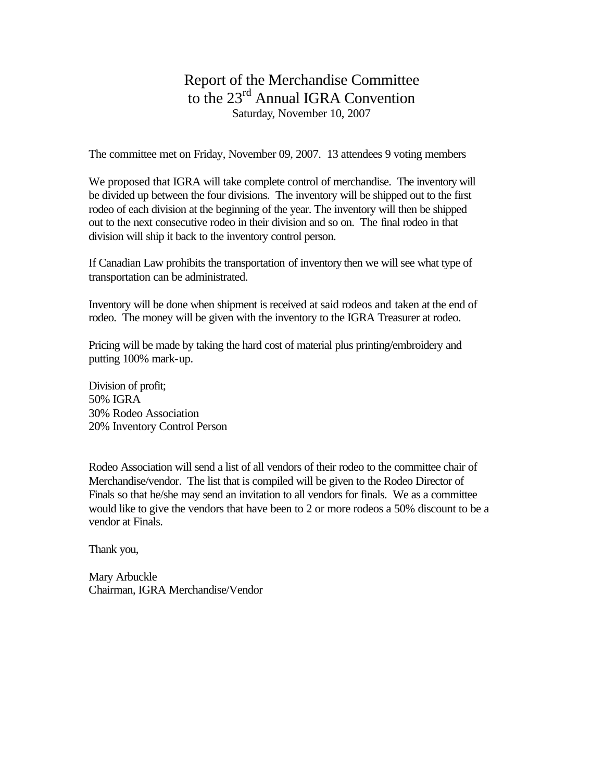## Report of the Merchandise Committee to the 23<sup>rd</sup> Annual IGRA Convention Saturday, November 10, 2007

The committee met on Friday, November 09, 2007. 13 attendees 9 voting members

We proposed that IGRA will take complete control of merchandise. The inventory will be divided up between the four divisions. The inventory will be shipped out to the first rodeo of each division at the beginning of the year. The inventory will then be shipped out to the next consecutive rodeo in their division and so on. The final rodeo in that division will ship it back to the inventory control person.

If Canadian Law prohibits the transportation of inventory then we will see what type of transportation can be administrated.

Inventory will be done when shipment is received at said rodeos and taken at the end of rodeo. The money will be given with the inventory to the IGRA Treasurer at rodeo.

Pricing will be made by taking the hard cost of material plus printing/embroidery and putting 100% mark-up.

Division of profit; 50% IGRA 30% Rodeo Association 20% Inventory Control Person

Rodeo Association will send a list of all vendors of their rodeo to the committee chair of Merchandise/vendor. The list that is compiled will be given to the Rodeo Director of Finals so that he/she may send an invitation to all vendors for finals. We as a committee would like to give the vendors that have been to 2 or more rodeos a 50% discount to be a vendor at Finals.

Thank you,

Mary Arbuckle Chairman, IGRA Merchandise/Vendor